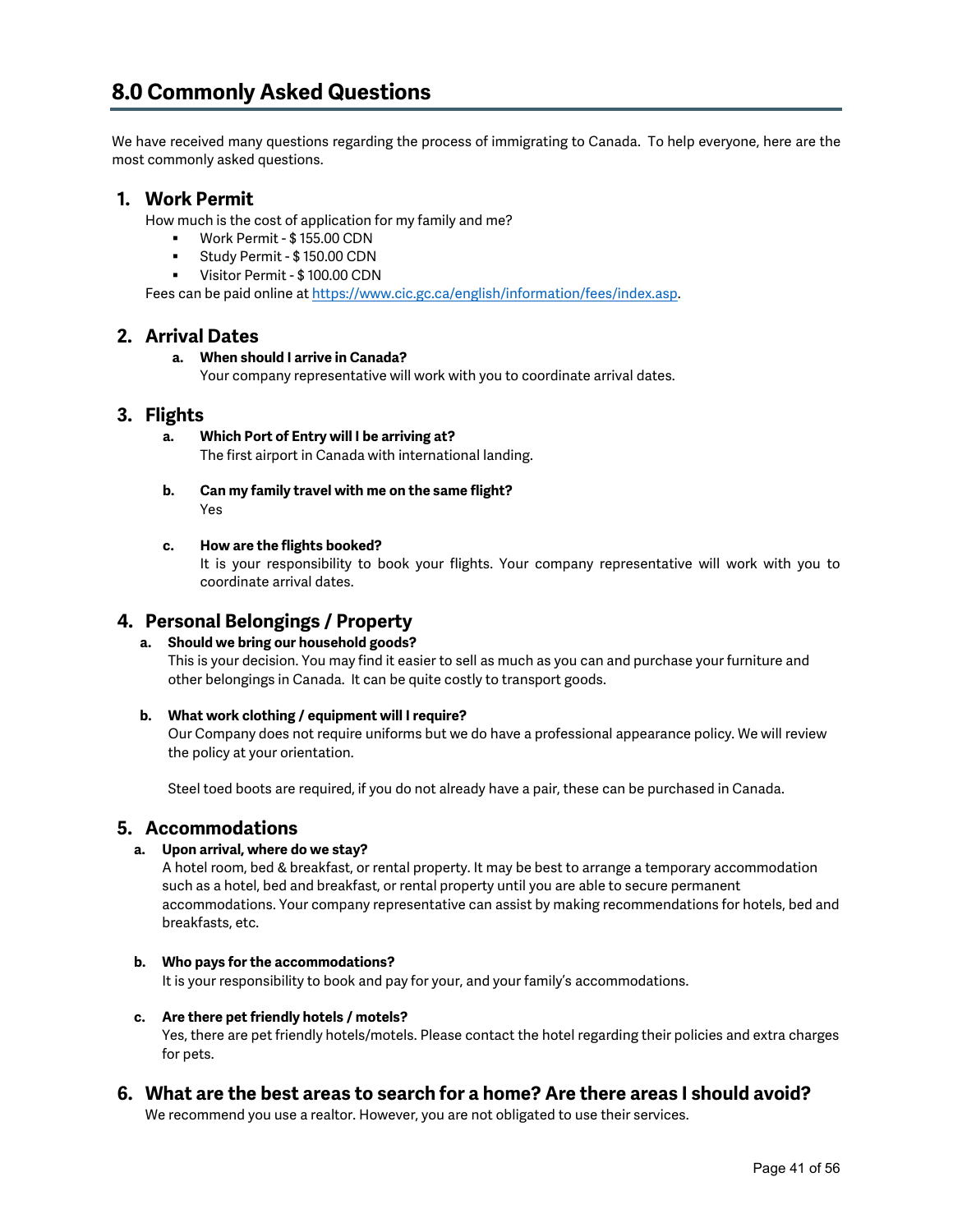We have received many questions regarding the process of immigrating to Canada. To help everyone, here are the most commonly asked questions.

# **1. Work Permit**

How much is the cost of application for my family and me?

- Work Permit \$ 155.00 CDN
- Study Permit \$ 150.00 CDN
- Visitor Permit \$ 100.00 CDN

Fees can be paid online a[t https://www.cic.gc.ca/english/information/fees/index.asp.](https://www.cic.gc.ca/english/information/fees/index.asp)

## **2. Arrival Dates**

# **a. When should I arrive in Canada?**

Your company representative will work with you to coordinate arrival dates.

## **3. Flights**

- **a. Which Port of Entry will I be arriving at?** The first airport in Canada with international landing.
- **b. Can my family travel with me on the same flight?** Yes
- **c. How are the flights booked?**

It is your responsibility to book your flights. Your company representative will work with you to coordinate arrival dates.

# **4. Personal Belongings / Property**

## **a. Should we bring our household goods?**

This is your decision. You may find it easier to sell as much as you can and purchase your furniture and other belongings in Canada. It can be quite costly to transport goods.

### **b. What work clothing / equipment will I require?**

Our Company does not require uniforms but we do have a professional appearance policy. We will review the policy at your orientation.

Steel toed boots are required, if you do not already have a pair, these can be purchased in Canada.

## **5. Accommodations**

### **a. Upon arrival, where do we stay?**

A hotel room, bed & breakfast, or rental property. It may be best to arrange a temporary accommodation such as a hotel, bed and breakfast, or rental property until you are able to secure permanent accommodations. Your company representative can assist by making recommendations for hotels, bed and breakfasts, etc.

### **b. Who pays for the accommodations?**

It is your responsibility to book and pay for your, and your family's accommodations.

### **c. Are there pet friendly hotels / motels?**

Yes, there are pet friendly hotels/motels. Please contact the hotel regarding their policies and extra charges for pets.

# **6. What are the best areas to search for a home? Are there areas I should avoid?**

We recommend you use a realtor. However, you are not obligated to use their services.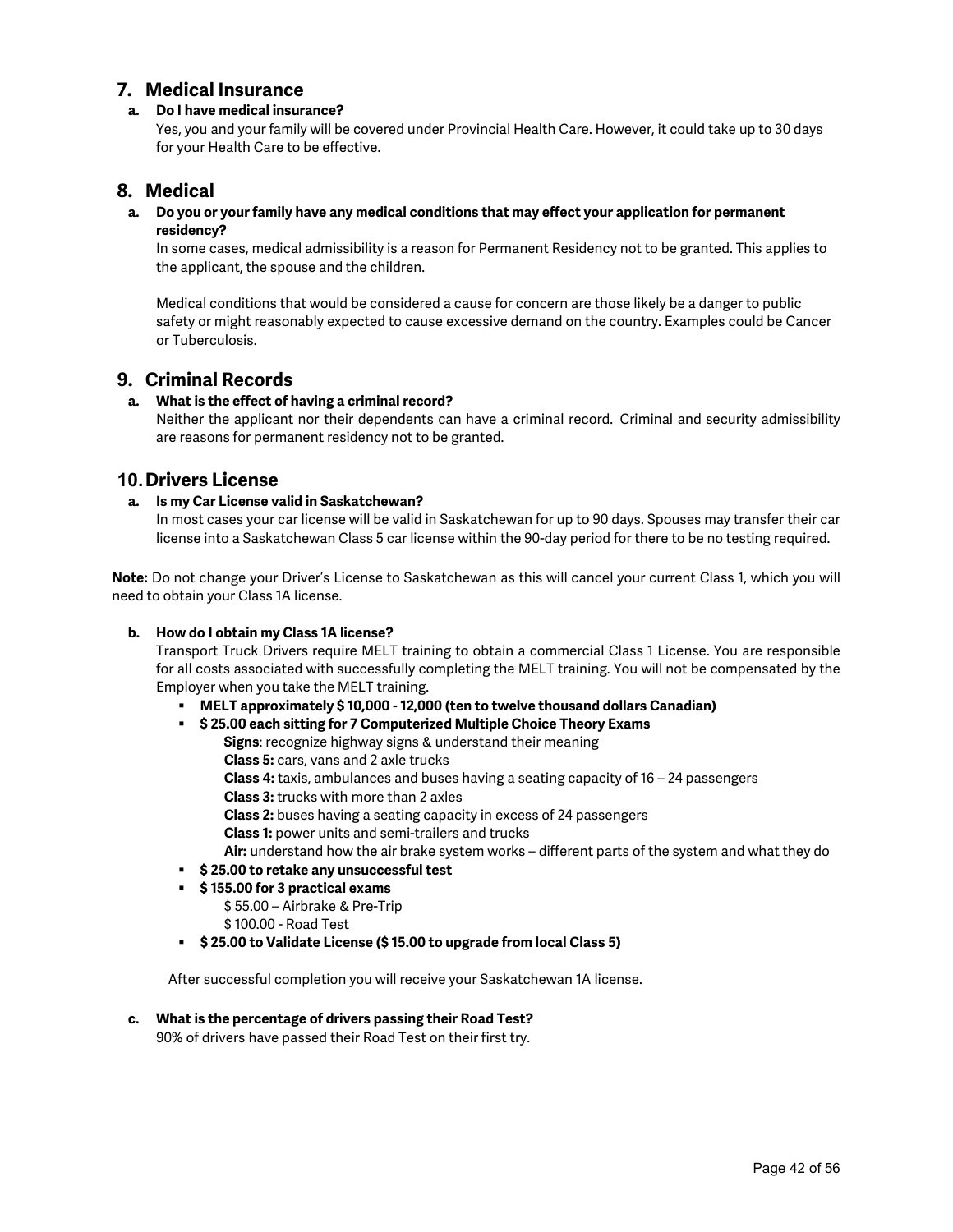## **7. Medical Insurance**

#### **a. Do I have medical insurance?**

Yes, you and your family will be covered under Provincial Health Care. However, it could take up to 30 days for your Health Care to be effective.

## **8. Medical**

#### **a. Do you or your family have any medical conditions that may effect your application for permanent residency?**

In some cases, medical admissibility is a reason for Permanent Residency not to be granted. This applies to the applicant, the spouse and the children.

Medical conditions that would be considered a cause for concern are those likely be a danger to public safety or might reasonably expected to cause excessive demand on the country. Examples could be Cancer or Tuberculosis.

## **9. Criminal Records**

#### **a. What is the effect of having a criminal record?**

Neither the applicant nor their dependents can have a criminal record. Criminal and security admissibility are reasons for permanent residency not to be granted.

## **10.Drivers License**

#### **a. Is my Car License valid in Saskatchewan?**

In most cases your car license will be valid in Saskatchewan for up to 90 days. Spouses may transfer their car license into a Saskatchewan Class 5 car license within the 90-day period for there to be no testing required.

**Note:** Do not change your Driver's License to Saskatchewan as this will cancel your current Class 1, which you will need to obtain your Class 1A license.

#### **b. How do I obtain my Class 1A license?**

Transport Truck Drivers require MELT training to obtain a commercial Class 1 License. You are responsible for all costs associated with successfully completing the MELT training. You will not be compensated by the Employer when you take the MELT training.

- **MELT approximately \$ 10,000 - 12,000 (ten to twelve thousand dollars Canadian)**
- **\$ 25.00 each sitting for 7 Computerized Multiple Choice Theory Exams** 
	- **Signs**: recognize highway signs & understand their meaning
		- **Class 5:** cars, vans and 2 axle trucks
	- **Class 4:** taxis, ambulances and buses having a seating capacity of 16 24 passengers
	- **Class 3:** trucks with more than 2 axles

**Class 2:** buses having a seating capacity in excess of 24 passengers

- **Class 1:** power units and semi-trailers and trucks
- **Air:** understand how the air brake system works different parts of the system and what they do
- **\$ 25.00 to retake any unsuccessful test**
- **\$ 155.00 for 3 practical exams**
	- \$ 55.00 Airbrake & Pre-Trip
	- \$ 100.00 Road Test
- **\$ 25.00 to Validate License (\$ 15.00 to upgrade from local Class 5)**

After successful completion you will receive your Saskatchewan 1A license.

#### **c. What is the percentage of drivers passing their Road Test?**

90% of drivers have passed their Road Test on their first try.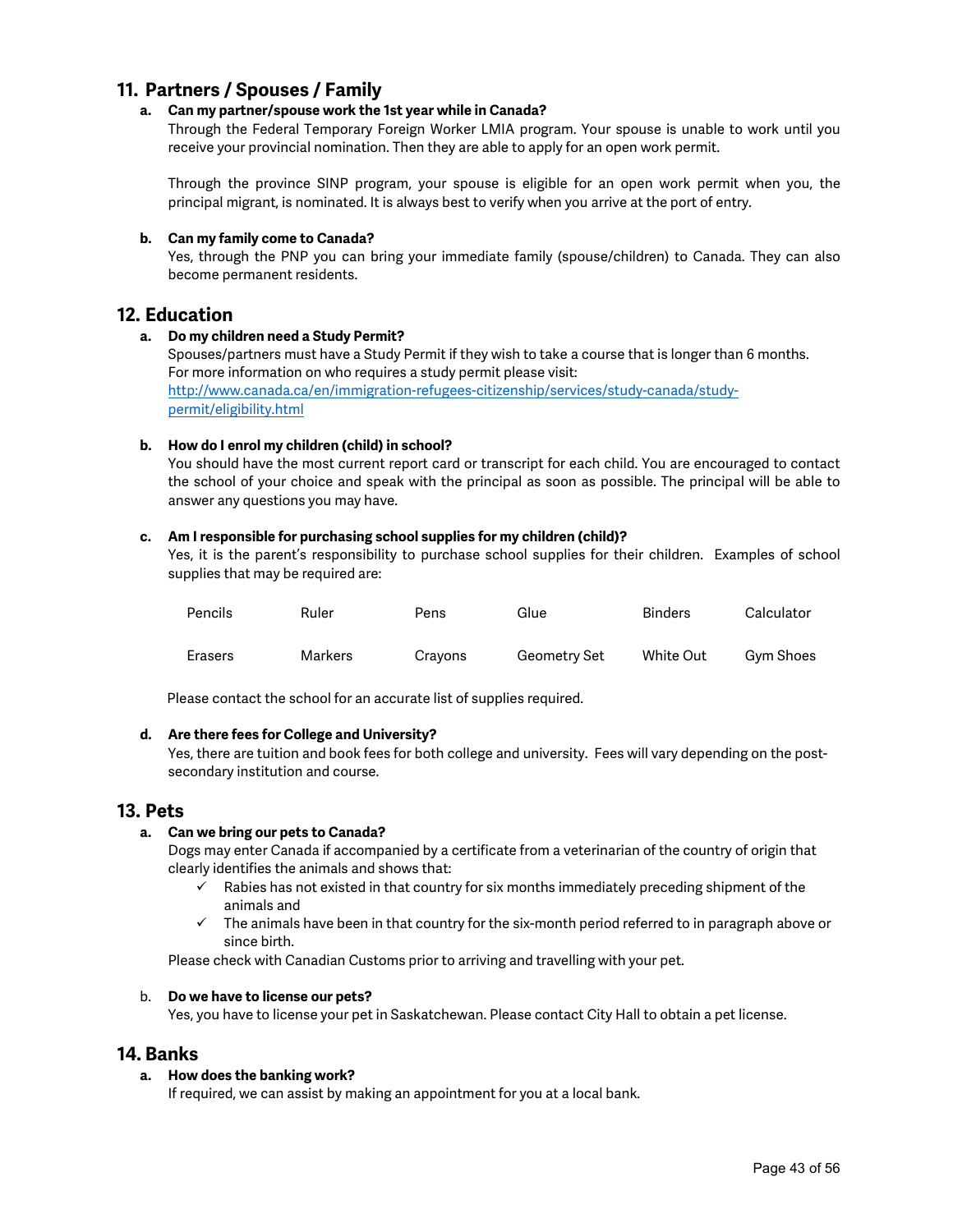# **11. Partners / Spouses / Family**

### **a. Can my partner/spouse work the 1st year while in Canada?**

Through the Federal Temporary Foreign Worker LMIA program. Your spouse is unable to work until you receive your provincial nomination. Then they are able to apply for an open work permit.

Through the province SINP program, your spouse is eligible for an open work permit when you, the principal migrant, is nominated. It is always best to verify when you arrive at the port of entry.

#### **b. Can my family come to Canada?**

Yes, through the PNP you can bring your immediate family (spouse/children) to Canada. They can also become permanent residents.

## **12. Education**

#### **a. Do my children need a Study Permit?**

Spouses/partners must have a Study Permit if they wish to take a course that is longer than 6 months. For more information on who requires a study permit please visit: [http://www.canada.ca/en/immigration-refugees-citizenship/services/study-canada/study](http://www.canada.ca/en/immigration-refugees-citizenship/services/study-canada/study-permit/eligibility.html)[permit/eligibility.html](http://www.canada.ca/en/immigration-refugees-citizenship/services/study-canada/study-permit/eligibility.html)

### **b. How do I enrol my children (child) in school?**

You should have the most current report card or transcript for each child. You are encouraged to contact the school of your choice and speak with the principal as soon as possible. The principal will be able to answer any questions you may have.

#### **c. Am I responsible for purchasing school supplies for my children (child)?**

Yes, it is the parent's responsibility to purchase school supplies for their children. Examples of school supplies that may be required are:

| Pencils | Ruler   | Pens    | Glue         | <b>Binders</b> | Calculator |
|---------|---------|---------|--------------|----------------|------------|
| Erasers | Markers | Crayons | Geometry Set | White Out      | Gym Shoes  |

Please contact the school for an accurate list of supplies required.

#### **d. Are there fees for College and University?**

Yes, there are tuition and book fees for both college and university. Fees will vary depending on the postsecondary institution and course.

### **13. Pets**

#### **a. Can we bring our pets to Canada?**

Dogs may enter Canada if accompanied by a certificate from a veterinarian of the country of origin that clearly identifies the animals and shows that:

- $\checkmark$  Rabies has not existed in that country for six months immediately preceding shipment of the animals and
- $\checkmark$  The animals have been in that country for the six-month period referred to in paragraph above or since birth.

Please check with Canadian Customs prior to arriving and travelling with your pet.

#### b. **Do we have to license our pets?**

Yes, you have to license your pet in Saskatchewan. Please contact City Hall to obtain a pet license.

## **14. Banks**

#### **a. How does the banking work?**

If required, we can assist by making an appointment for you at a local bank.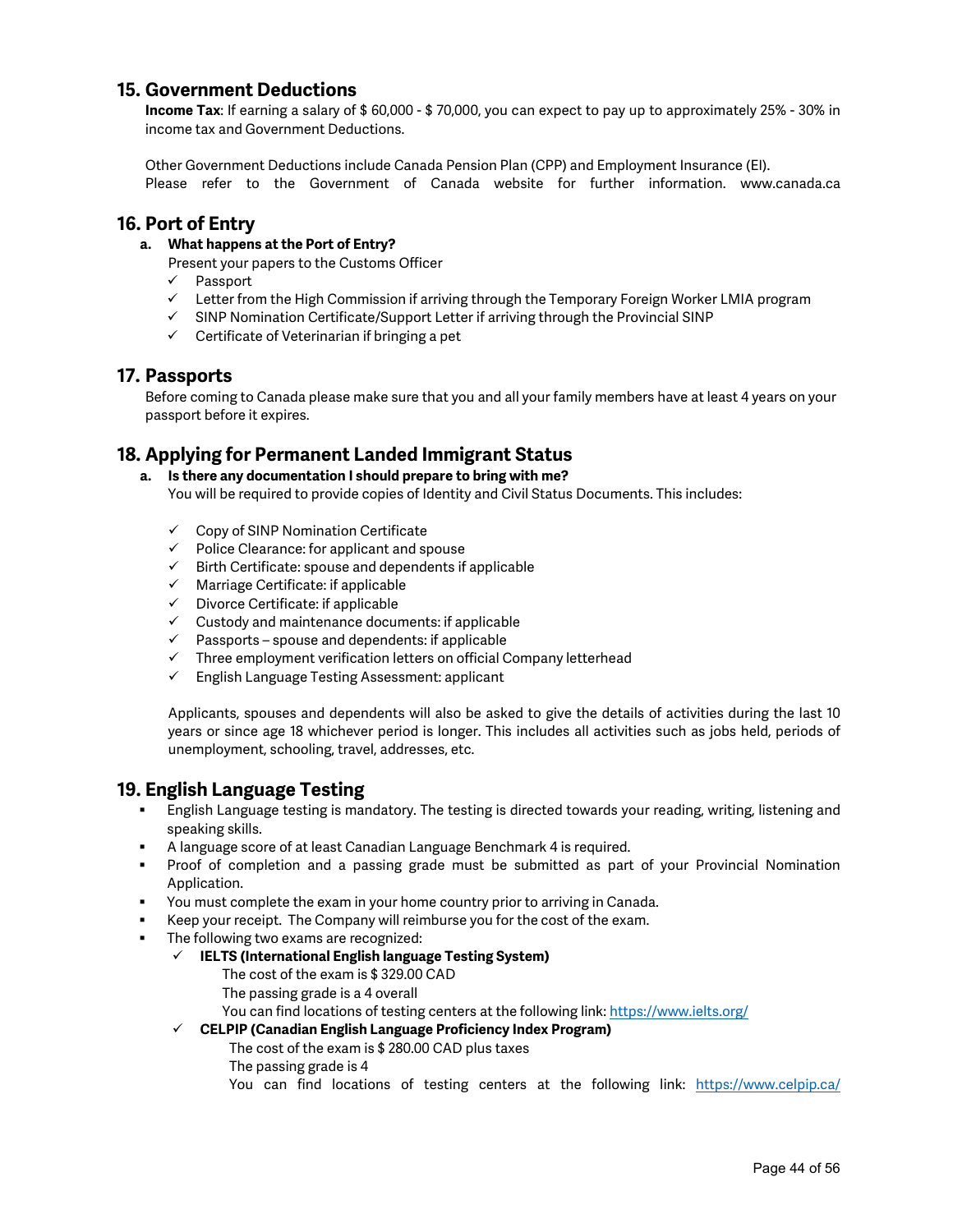# **15. Government Deductions**

**Income Tax**: If earning a salary of \$ 60,000 - \$ 70,000, you can expect to pay up to approximately 25% - 30% in income tax and Government Deductions.

Other Government Deductions include Canada Pension Plan (CPP) and Employment Insurance (EI). Please refer to the Government of Canada website for further information. [www.canada.ca](http://www.canada.ca/)

## **16. Port of Entry**

**a. What happens at the Port of Entry?**

Present your papers to the Customs Officer

- $\checkmark$  Passport
- $\checkmark$  Letter from the High Commission if arriving through the Temporary Foreign Worker LMIA program
- $\checkmark$  SINP Nomination Certificate/Support Letter if arriving through the Provincial SINP
- $\checkmark$  Certificate of Veterinarian if bringing a pet

## **17. Passports**

Before coming to Canada please make sure that you and all your family members have at least 4 years on your passport before it expires.

# **18. Applying for Permanent Landed Immigrant Status**

#### **a. Is there any documentation I should prepare to bring with me?** You will be required to provide copies of Identity and Civil Status Documents. This includes:

- $\checkmark$  Copy of SINP Nomination Certificate
- $\checkmark$  Police Clearance: for applicant and spouse
- $\checkmark$  Birth Certificate: spouse and dependents if applicable
- $\checkmark$  Marriage Certificate: if applicable
- $\checkmark$  Divorce Certificate: if applicable
- $\checkmark$  Custody and maintenance documents: if applicable
- $\checkmark$  Passports spouse and dependents: if applicable
- $\checkmark$  Three employment verification letters on official Company letterhead
- $\checkmark$  English Language Testing Assessment: applicant

Applicants, spouses and dependents will also be asked to give the details of activities during the last 10 years or since age 18 whichever period is longer. This includes all activities such as jobs held, periods of unemployment, schooling, travel, addresses, etc.

## **19. English Language Testing**

- English Language testing is mandatory. The testing is directed towards your reading, writing, listening and speaking skills.
- A language score of at least Canadian Language Benchmark 4 is required.
- Proof of completion and a passing grade must be submitted as part of your Provincial Nomination Application.
- You must complete the exam in your home country prior to arriving in Canada.
	- Keep your receipt. The Company will reimburse you for the cost of the exam.
- The following two exams are recognized:
	- **IELTS (International English language Testing System)**
		- The cost of the exam is \$ 329.00 CAD
		- The passing grade is a 4 overall
		- You can find locations of testing centers at the following link[: https://www.ielts.org/](https://www.ielts.org/)
	- **CELPIP (Canadian English Language Proficiency Index Program)**
		- The cost of the exam is \$ 280.00 CAD plus taxes
			- The passing grade is 4
			- You can find locations of testing centers at the following link: <https://www.celpip.ca/>